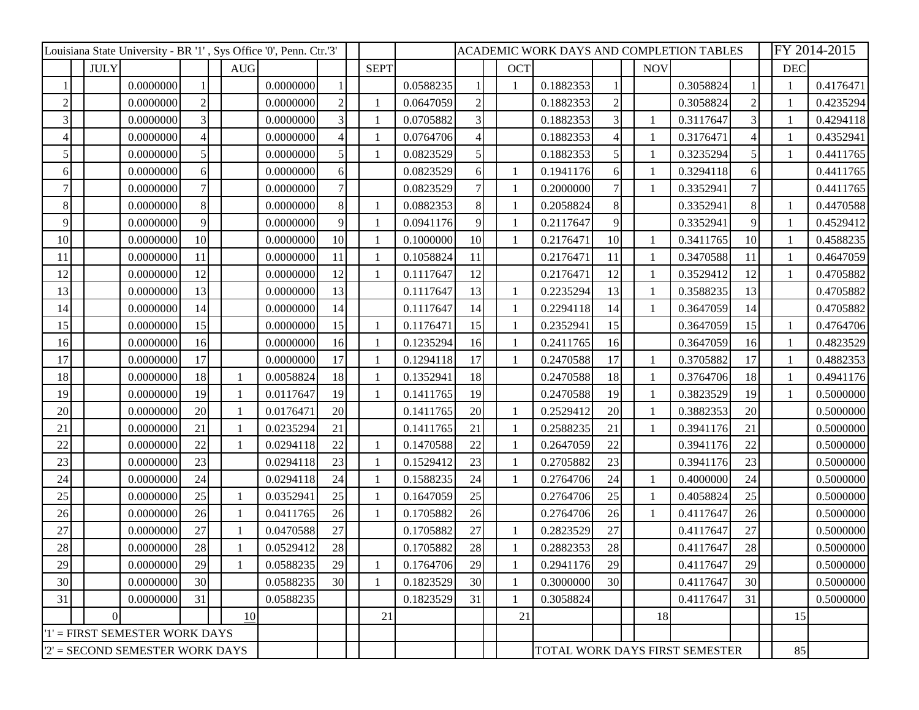|                                  |             |           |                 | Louisiana State University - BR '1', Sys Office '0', Penn. Ctr.'3' |           |                |              |              |           |                | ACADEMIC WORK DAYS AND COMPLETION TABLES |           |                |              |                                |                | FY 2014-2015 |           |
|----------------------------------|-------------|-----------|-----------------|--------------------------------------------------------------------|-----------|----------------|--------------|--------------|-----------|----------------|------------------------------------------|-----------|----------------|--------------|--------------------------------|----------------|--------------|-----------|
|                                  | <b>JULY</b> |           |                 | <b>AUG</b>                                                         |           |                |              | <b>SEPT</b>  |           |                | <b>OCT</b>                               |           |                | <b>NOV</b>   |                                |                | <b>DEC</b>   |           |
|                                  |             | 0.0000000 |                 |                                                                    | 0.0000000 |                |              |              | 0.0588235 |                |                                          | 0.1882353 |                |              | 0.3058824                      |                |              | 0.4176471 |
| $\overline{2}$                   |             | 0.0000000 | 2               |                                                                    | 0.0000000 | $\mathfrak{2}$ | -1           |              | 0.0647059 | $\overline{c}$ |                                          | 0.1882353 | $\overline{2}$ |              | 0.3058824                      | $\overline{2}$ |              | 0.4235294 |
|                                  |             | 0.0000000 | 3               |                                                                    | 0.0000000 | 3              |              |              | 0.0705882 | 3              |                                          | 0.1882353 | $\overline{3}$ |              | 0.3117647                      | 3              |              | 0.4294118 |
|                                  |             | 0.0000000 |                 |                                                                    | 0.0000000 |                |              |              | 0.0764706 | 4              |                                          | 0.1882353 |                |              | 0.3176471                      | $\overline{4}$ |              | 0.4352941 |
| 5                                |             | 0.0000000 | 5               |                                                                    | 0.0000000 |                |              |              | 0.0823529 | 5              |                                          | 0.1882353 | $\mathfrak{S}$ |              | 0.3235294                      | 5              |              | 0.4411765 |
| 6                                |             | 0.0000000 | 61              |                                                                    | 0.0000000 | 6              |              |              | 0.0823529 | 6              |                                          | 0.1941176 | 6              |              | 0.3294118                      | 6              |              | 0.4411765 |
|                                  |             | 0.0000000 |                 |                                                                    | 0.0000000 |                |              |              | 0.0823529 | 7              |                                          | 0.2000000 | 7              |              | 0.3352941                      |                |              | 0.4411765 |
| 8                                |             | 0.0000000 | 8               |                                                                    | 0.0000000 | 8              | $\mathbf{1}$ |              | 0.0882353 | 8              |                                          | 0.2058824 | 8              |              | 0.3352941                      | 8              |              | 0.4470588 |
| 9                                |             | 0.0000000 | 9               |                                                                    | 0.0000000 | 9              |              |              | 0.0941176 | 9              |                                          | 0.2117647 | $\overline{9}$ |              | 0.3352941                      | 9              |              | 0.4529412 |
| 10                               |             | 0.0000000 | 10 <sup>1</sup> |                                                                    | 0.0000000 | 10             |              |              | 0.1000000 | 10             |                                          | 0.2176471 | 10             | $\mathbf{1}$ | 0.3411765                      | 10             |              | 0.4588235 |
| 11                               |             | 0.0000000 | 11              |                                                                    | 0.0000000 | 11             |              |              | 0.1058824 | 11             |                                          | 0.2176471 | 11             |              | 0.3470588                      | 11             |              | 0.4647059 |
| 12                               |             | 0.0000000 | 12              |                                                                    | 0.0000000 | 12             |              |              | 0.1117647 | 12             |                                          | 0.2176471 | 12             |              | 0.3529412                      | 12             |              | 0.4705882 |
| 13                               |             | 0.0000000 | 13              |                                                                    | 0.0000000 | 13             |              |              | 0.1117647 | 13             |                                          | 0.2235294 | 13             |              | 0.3588235                      | 13             |              | 0.4705882 |
| 14                               |             | 0.0000000 | 14              |                                                                    | 0.0000000 | 14             |              |              | 0.1117647 | 14             |                                          | 0.2294118 | 14             |              | 0.3647059                      | 14             |              | 0.4705882 |
| 15                               |             | 0.0000000 | 15              |                                                                    | 0.0000000 | 15             | $\mathbf{1}$ |              | 0.1176471 | 15             |                                          | 0.2352941 | 15             |              | 0.3647059                      | 15             |              | 0.4764706 |
| 16                               |             | 0.0000000 | 16              |                                                                    | 0.0000000 | 16             |              |              | 0.1235294 | 16             |                                          | 0.2411765 | 16             |              | 0.3647059                      | 16             |              | 0.4823529 |
| 17                               |             | 0.0000000 | 17              |                                                                    | 0.0000000 | 17             |              |              | 0.1294118 | 17             |                                          | 0.2470588 | 17             |              | 0.3705882                      | 17             |              | 0.4882353 |
| 18                               |             | 0.0000000 | 18              |                                                                    | 0.0058824 | 18             |              |              | 0.1352941 | 18             |                                          | 0.2470588 | 18             |              | 0.3764706                      | 18             |              | 0.4941176 |
| 19                               |             | 0.0000000 | 19              |                                                                    | 0.0117647 | 19             |              |              | 0.1411765 | 19             |                                          | 0.2470588 | 19             |              | 0.3823529                      | 19             |              | 0.5000000 |
| 20                               |             | 0.0000000 | 20              |                                                                    | 0.0176471 | 20             |              |              | 0.1411765 | 20             |                                          | 0.2529412 | 20             |              | 0.3882353                      | 20             |              | 0.5000000 |
| 21                               |             | 0.0000000 | 21              |                                                                    | 0.0235294 | 21             |              |              | 0.1411765 | 21             |                                          | 0.2588235 | 21             | 1            | 0.3941176                      | 21             |              | 0.5000000 |
| 22                               |             | 0.0000000 | 22              |                                                                    | 0.0294118 | 22             |              |              | 0.1470588 | 22             |                                          | 0.2647059 | 22             |              | 0.3941176                      | 22             |              | 0.5000000 |
| 23                               |             | 0.0000000 | 23              |                                                                    | 0.0294118 | 23             |              |              | 0.1529412 | 23             |                                          | 0.2705882 | 23             |              | 0.3941176                      | 23             |              | 0.5000000 |
| 24                               |             | 0.0000000 | 24              |                                                                    | 0.0294118 | 24             |              |              | 0.1588235 | 24             |                                          | 0.2764706 | 24             |              | 0.4000000                      | 24             |              | 0.5000000 |
| 25                               |             | 0.0000000 | 25              |                                                                    | 0.0352941 | 25             |              |              | 0.1647059 | 25             |                                          | 0.2764706 | 25             |              | 0.4058824                      | 25             |              | 0.5000000 |
| 26                               |             | 0.0000000 | 26              |                                                                    | 0.0411765 | 26             | -1           |              | 0.1705882 | 26             |                                          | 0.2764706 | 26             |              | 0.4117647                      | 26             |              | 0.5000000 |
| 27                               |             | 0.0000000 | 27              |                                                                    | 0.0470588 | 27             |              |              | 0.1705882 | 27             |                                          | 0.2823529 | $27\,$         |              | 0.4117647                      | 27             |              | 0.5000000 |
| 28                               |             | 0.0000000 | 28              |                                                                    | 0.0529412 | 28             |              |              | 0.1705882 | 28             |                                          | 0.2882353 | $28\,$         |              | 0.4117647                      | 28             |              | 0.5000000 |
| 29                               |             | 0.0000000 | 29              |                                                                    | 0.0588235 | 29             |              |              | 0.1764706 | 29             |                                          | 0.2941176 | 29             |              | 0.4117647                      | 29             |              | 0.5000000 |
| 30                               |             | 0.0000000 | 30              |                                                                    | 0.0588235 | 30             |              | $\mathbf{1}$ | 0.1823529 | 30             |                                          | 0.3000000 | 30             |              | 0.4117647                      | 30             |              | 0.5000000 |
| 31                               |             | 0.0000000 | 31              |                                                                    | 0.0588235 |                |              |              | 0.1823529 | 31             |                                          | 0.3058824 |                |              | 0.4117647                      | 31             |              | 0.5000000 |
|                                  | $\Omega$    |           |                 | 10                                                                 |           |                |              | 21           |           |                | 21                                       |           |                | 18           |                                |                | 15           |           |
| '1' = FIRST SEMESTER WORK DAYS   |             |           |                 |                                                                    |           |                |              |              |           |                |                                          |           |                |              |                                |                |              |           |
| $2'$ = SECOND SEMESTER WORK DAYS |             |           |                 |                                                                    |           |                |              |              |           |                |                                          |           |                |              | TOTAL WORK DAYS FIRST SEMESTER |                | 85           |           |